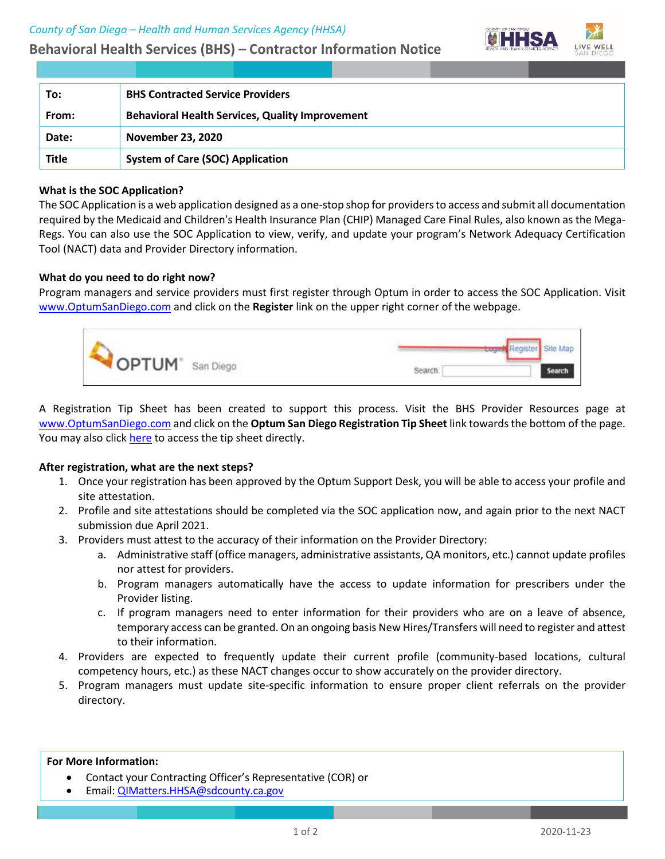# **Behavioral Health Services (BHS) – Contractor Information Notice**



| To:          | <b>BHS Contracted Service Providers</b>                |
|--------------|--------------------------------------------------------|
| From:        | <b>Behavioral Health Services, Quality Improvement</b> |
| Date:        | <b>November 23, 2020</b>                               |
| <b>Title</b> | <b>System of Care (SOC) Application</b>                |

## **What is the SOC Application?**

The SOC Application is a web application designed as a one-stop shop for providers to access and submit all documentation required by the Medicaid and Children's Health Insurance Plan (CHIP) Managed Care Final Rules, also known as the Mega-Regs. You can also use the SOC Application to view, verify, and update your program's Network Adequacy Certification Tool (NACT) data and Provider Directory information.

## **What do you need to do right now?**

Program managers and service providers must first register through Optum in order to access the SOC Application. Visit [www.OptumSanDiego.com](https://optumsandiego.com/) and click on the **Register** link on the upper right corner of the webpage.



A Registration Tip Sheet has been created to support this process. Visit the BHS Provider Resources page at [www.OptumSanDiego.com](https://optumsandiego.com/) and click on the **Optum San Diego Registration Tip Sheet** link towards the bottom of the page. You may also click [here](https://www.optumsandiego.com/content/dam/san-diego/pdf/optumsandiegregistrationtipsheet.pdf) to access the tip sheet directly.

## **After registration, what are the next steps?**

- 1. Once your registration has been approved by the Optum Support Desk, you will be able to access your profile and site attestation.
- 2. Profile and site attestations should be completed via the SOC application now, and again prior to the next NACT submission due April 2021.
- 3. Providers must attest to the accuracy of their information on the Provider Directory:
	- a. Administrative staff (office managers, administrative assistants, QA monitors, etc.) cannot update profiles nor attest for providers.
	- b. Program managers automatically have the access to update information for prescribers under the Provider listing.
	- c. If program managers need to enter information for their providers who are on a leave of absence, temporary access can be granted. On an ongoing basis New Hires/Transfers will need to register and attest to their information.
- 4. Providers are expected to frequently update their current profile (community-based locations, cultural competency hours, etc.) as these NACT changes occur to show accurately on the provider directory.
- 5. Program managers must update site-specific information to ensure proper client referrals on the provider directory.

#### **For More Information:**

- Contact your Contracting Officer's Representative (COR) or
- Email[: QIMatters.HHSA@sdcounty.ca.gov](mailto:QIMatters.HHSA@sdcounty.ca.gov)